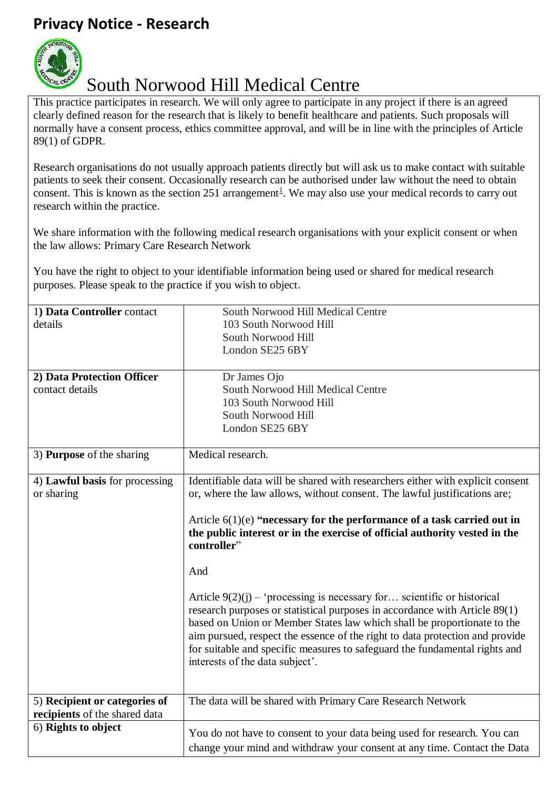## **Privacy Notice - Research**



## South Norwood Hill Medical Centre

This practice participates in research. We will only agree to participate in any project if there is an agreed clearly defined reason for the research that is likely to benefit healthcare and patients. Such proposals will normally have a consent process, ethics committee approval, and will be in line with the principles of Article 89(1) of GDPR.

Research organisations do not usually approach patients directly but will ask us to make contact with suitable patients to seek their consent. Occasionally research can be authorised under law without the need to obtain consent. This is known as the section 25[1](#page-1-0) arrangement<sup>1</sup>. We may also use your medical records to carry out research within the practice.

We share information with the following medical research organisations with your explicit consent or when the law allows: Primary Care Research Network

You have the right to object to your identifiable information being used or shared for medical research purposes. Please speak to the practice if you wish to object.

| 1) Data Controller contact     | South Norwood Hill Medical Centre                                              |
|--------------------------------|--------------------------------------------------------------------------------|
| details                        | 103 South Norwood Hill                                                         |
|                                | South Norwood Hill                                                             |
|                                | London SE25 6BY                                                                |
|                                |                                                                                |
| 2) Data Protection Officer     | Dr James Ojo                                                                   |
| contact details                | South Norwood Hill Medical Centre                                              |
|                                | 103 South Norwood Hill                                                         |
|                                | South Norwood Hill                                                             |
|                                | London SE25 6BY                                                                |
|                                |                                                                                |
| 3) Purpose of the sharing      | Medical research.                                                              |
|                                |                                                                                |
| 4) Lawful basis for processing | Identifiable data will be shared with researchers either with explicit consent |
| or sharing                     | or, where the law allows, without consent. The lawful justifications are;      |
|                                |                                                                                |
|                                | Article $6(1)(e)$ "necessary for the performance of a task carried out in      |
|                                | the public interest or in the exercise of official authority vested in the     |
|                                | controller"                                                                    |
|                                |                                                                                |
|                                | And                                                                            |
|                                |                                                                                |
|                                | Article $9(2)(j)$ – 'processing is necessary for scientific or historical      |
|                                | research purposes or statistical purposes in accordance with Article 89(1)     |
|                                | based on Union or Member States law which shall be proportionate to the        |
|                                | aim pursued, respect the essence of the right to data protection and provide   |
|                                | for suitable and specific measures to safeguard the fundamental rights and     |
|                                | interests of the data subject'.                                                |
|                                |                                                                                |
|                                |                                                                                |
| 5) Recipient or categories of  | The data will be shared with Primary Care Research Network                     |
| recipients of the shared data  |                                                                                |
| 6) Rights to object            | You do not have to consent to your data being used for research. You can       |
|                                |                                                                                |
|                                | change your mind and withdraw your consent at any time. Contact the Data       |